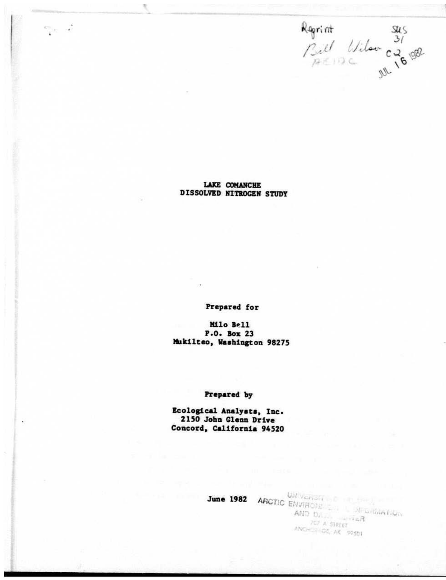Regrint sus<br>Bill Vilow c2008

LAKE COMANCHE **DISSOLVED NITROGEN STUDY** 

×,

 $\mathcal{O}(\mathcal{C}_{\mathcal{M}})$  .  $\mathcal{A}$ 

Prepared for

Milo Bell P.O. Box 23 Mukilteo, Washington 98275

## Prepared by

Ecological Analysts, Inc. 2150 John Glenn Drive Concord, California 94520

June 1982 ARCTIC ENVIRONS CONTINUES AND  $b_{\Delta_{\mathcal{I}(\cdot)}}$  and  $\overline{a}_R$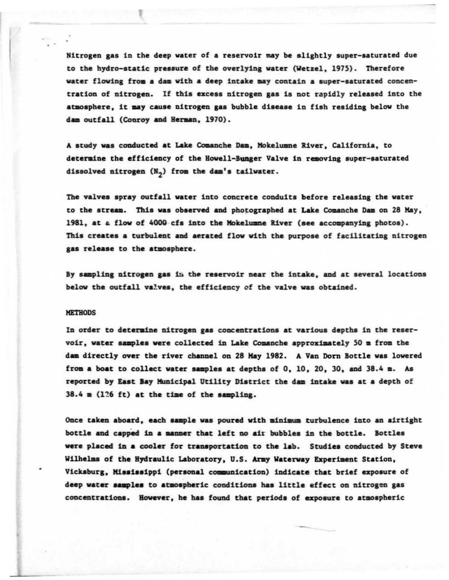Nitrogen gas in the deep water of a reservoir may be slightly super-saturated due to the hydro-static pressure of the overlying water (Wetzel, 1975). Therefore water flowing from a dam with a deep intake may contain a super-saturated concentration of nitrogen. If this excess nitrogen gas is not rapidly released into the atmosphere. it may cause nitrogen gas bubble disease in fish residing below the dam outfall (Conroy and Herman, 1970).

A study was conducted at Lake Comanche Dam, Mokelumne River, California, to determine the efficiency of the Howell-Bunger Valve in removing super-saturated dissolved nitrogen (N<sub>n</sub>) from the dam's tailwater.

The valves spray outfall water into concrete conduits before releasing the water to the stream. This was observed and photographed at Lake Comanche Dam on 28 May, 1981, at a flow of 4000 cfs into the Mokelumne River (see accompanying photos). This creates a turbulent and aerated flow with the purpose of facilitating nitrogen gas release to the atmosphere.

By sampling nitrogen gas in the reservoir near the intake, and at several locations below the outfall valves, the efficiency of the valve was obtained.

## **METHODS**

In order to determine nitrogen gas concentrations at various depths in the reservoir, water samples were collected in Lake Comanche approximately 50 m from the dam directly over the river channel on 28 May 1982. A Van Dorn Bottle was lowered from a boat to collect water samples at depths of 0, 10, 20, 30, and 38.4 m. As reported by East Bay Municipal Utility District the dam intake was at a depth of 38.4 m (126 ft) at the time of the sampling.

Once taken aboard, each sample was poured with minimum turbulence into an airtight bottle and capped in a manner that left no air bubbles in the bottle. Bottles were placed in a cooler for transportation to the lab. Studies conducted by Steve Wilhelms of the Hydraulic Laboratory, U.S. Army Waterway Experiment Station, Vicksburg, Mississippi (personal communication) indicate that brief exposure of deep water samples to atmospheric conditions has little effect on nitrogen gas concentrations. However, he has found that periods of exposure to atmospheric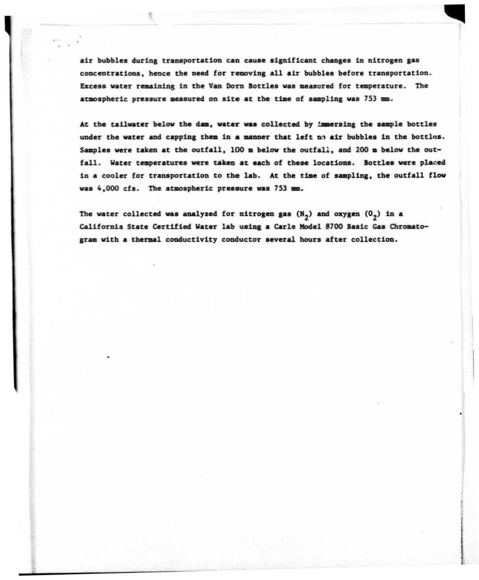air bubbles during transportation can cause significant changes in nitrogen gas concentrations, hence the need for removing all air bubbles before transportation. Excess water remaining in the Van Dorn Bottles was measured for temperature. The atmospheric pressure measured on site at the time of sampling was 753 mm.

At the tailwater below the dam, water was collected by immersing the sample bottles under the water and capping them in a manner that left no air bubbles in the bottles. Samples were taken at the outfall, 100 m below the outfall, and 200 m below the outfall. Water temperatures were taken at each of these locations. Bottles were placed in a cooler for transportation to the lab. At the time of sampling, the outfall flow was 4,000 cfs. The atmospheric pressure was 753 mm.

The water collected was analyzed for nitrogen gas (N<sub>2</sub>) and oxygen (0<sub>2</sub>) in a California State Certified Water lab using a Carle Model 8700 Basic Gas Chromatogram with a thermal conductivity conductor several hours after collection.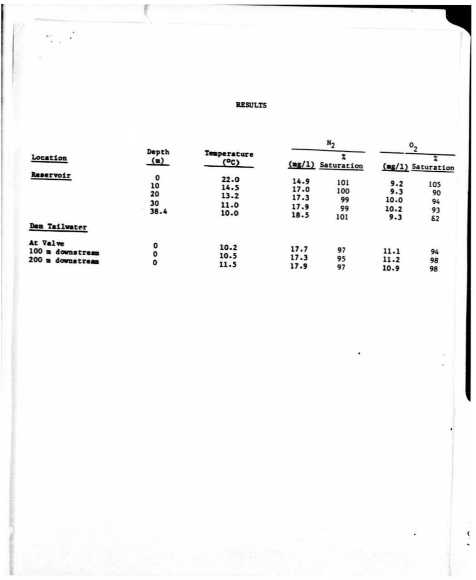## **RESULTS**

| Location                                         | Depth<br>$($ $\blacksquare$ )          | Temperature<br>(°c)                  | N <sub>2</sub>                       |                               | $\mathbf{0}_{\mathbf{a}}$         |                             |
|--------------------------------------------------|----------------------------------------|--------------------------------------|--------------------------------------|-------------------------------|-----------------------------------|-----------------------------|
|                                                  |                                        |                                      |                                      | (mg/1) Saturation             |                                   | (mg/1) Saturation           |
| Reservoir<br>Dam Tailwater                       | $\mathbf{o}$<br>10<br>20<br>30<br>38.4 | 22.0<br>14.5<br>13.2<br>11.0<br>10.0 | 14.9<br>17.0<br>17.3<br>17.9<br>18.5 | 101<br>100<br>99<br>99<br>101 | 9.2<br>9.3<br>10.0<br>10.2<br>9.3 | 105<br>90<br>94<br>93<br>62 |
| At Valve<br>100 m downstream<br>200 m downstream | o<br>0<br>0                            | 10.2<br>10.5<br>11.5                 | 17.7<br>17.3<br>17.9                 | 97<br>95<br>97                | 11.1<br>11.2<br>10.9              | 94<br>98<br>98              |